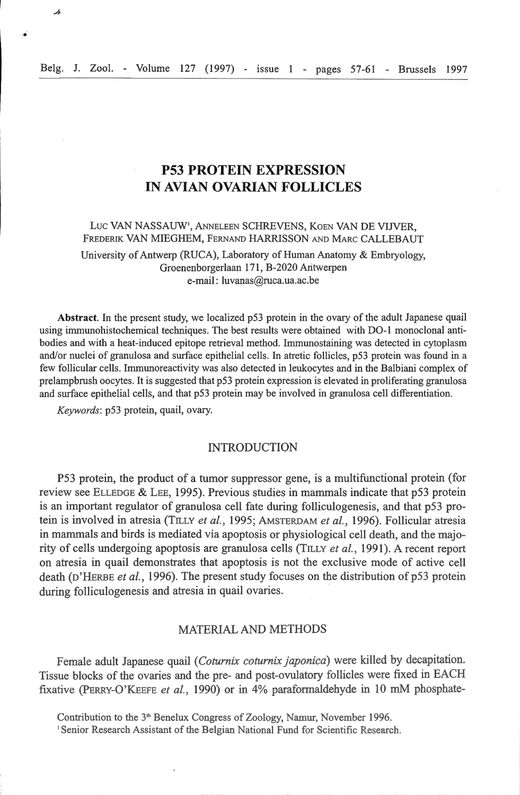# **P53 PROTEIN EXPRESSION IN AVIAN OVARIAN FOLLICLES**

Luc VAN NASSAUW', ANNELEEN SCHREVENS, KOEN VAN DE VIJVER, FREDERIK VAN MIEGHEM, FERNAND HARRISSON AND MARC CALLEBAUT

University of Antwerp (RUCA), Laboratory of Human Anatomy & Embryology, Groenenborgerlaan 171, B-2020 Antwerpen e-mail: luvanas@ruca.ua.ac.be

**Abstract.** ln the present study, we localized p53 protein in the ovary of the adult Japanese quai! using immunohistochemical techniques. The best results were obtained with DO-l monoclonal antibodies and with a heat-induced epitope retrieval method. lmmunostaining was detected in cytoplasm and/or nuclei of granulosa and surface epithelial cells. ln atretic follicles, p53 protein was found in a few follicular cells. Immunoreactivity was also detected in leukocytes and in the Balbiaui complex of prelampbrush oocytes. It is suggested that p53 protein expression is elevated in proliferating granulosa and surface epithelial cells, and that p53 protein may be involved in granulosa cell differentiation.

*Keywords:* p53 protein, quail, ovary.

 $\boldsymbol{\lambda}$ 

#### **INTRODUCTION**

P53 protein, the product of a twnor suppressor gene, is a multifunctional protein (for review see ELLEDGE & LEE, 1995). Previous studies in mammals indicate that  $p53$  protein is an important regulator of granulosa cell fate during fôlliculogenesis, and that p53 protein is involved in atresia (TILLY *et al.*, 1995; AMSTERDAM *et al.*, 1996). Follicular atresia in mammals and birds is mediated via apoptosis or physiological cell death, and the majority of cells undergoing apoptosis are gramùosa cells (TrLLY *et al.,* 1991). A recent report on atresia in quail demonstrates that apoptosis is not the exclusive mode of active cell death (D'HERBE *et al.*, 1996). The present study focuses on the distribution of p53 protein during folliculogenesis and atresia in quail ovaries.

## MATERIAL AND METHODS

Female adult Japanese quail *(Coturnix coturnix japonica)* were killed by decapitation. Tissue blacks of the ovaries and the pre- and post-ovulatory follicles were fixed in EACH fixative (PERRY-O'KEEFE *et al.*, 1990) or in 4% paraformaldehyde in 10 mM phosphate-

Contribution to the 3'" Benelux Congress of Zoology, Namur, November 1996. ' Senior Research Assistant of the Belgian National Fund for Scientific Research.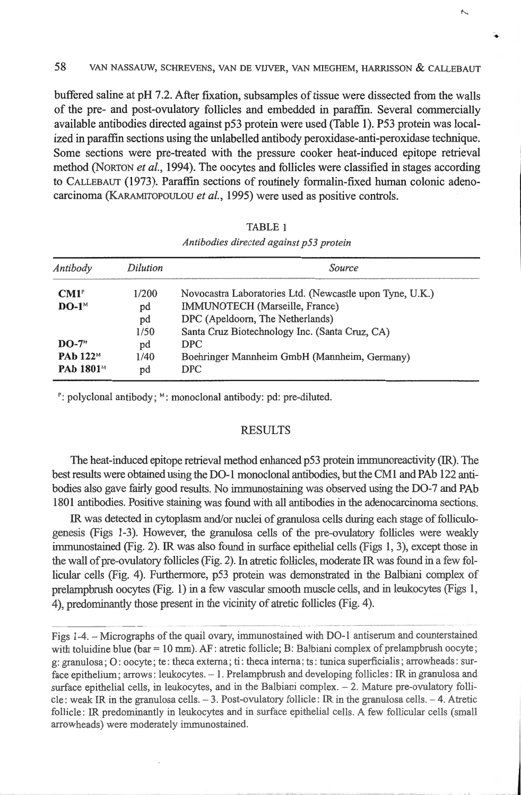'•·

buffered saline at pH 7 .2. After fixation, subsamples of tissue were dissected from the walls of the pre- and post-ovulatory follicles and embedded in paraffin. Severa! commercially available antibodies directed against p53 protein were used (Table 1). P53 protein was localized in paraffin sections using the unlabelled antibody peroxidase-anti-peroxidase technique. Sorne sections were pre-treated with the pressure cooker heat-induced epitope retrieval method (NORTON *et al.,* 1994). The oocytes and follicles were classified in stages according to CALLEBAUT (1973). Paraffm sections of routinely formalin-fixed human colonie adenocarcinoma (KARAMJTOPOULOU *et al.,* 1995) were used as positive controls.

| Antibody                    | Dilution | Source                                                   |
|-----------------------------|----------|----------------------------------------------------------|
| CM1 <sup>p</sup>            | 1/200    | Novocastra Laboratories Ltd. (Newcastle upon Tyne, U.K.) |
| $DO-1^M$                    | pd       | IMMUNOTECH (Marseille, France)                           |
|                             | pd       | DPC (Apeldoorn, The Netherlands)                         |
|                             | 1/50     | Santa Cruz Biotechnology Inc. (Santa Cruz, CA)           |
| $DO-7^M$                    | pd       | <b>DPC</b>                                               |
| <b>PAb</b> 122 <sup>M</sup> | 1/40     | Boehringer Mannheim GmbH (Mannheim, Germany)             |
| PAb 1801 <sup>M</sup>       | pd       | <b>DPC</b>                                               |

TABLE 1 *Antibodies directecl against p53 protein* 

<sup>P</sup>: polyclonal antibody; <sup>M</sup>: monoclonal antibody: pd: pre-diluted.

#### RESULTS

The heat-induced epitope retrieval method enhanced p53 protein immunoreactivity (IR). The best results were obtained using the DO-1 monoclonal antibodies, but the CM1 and PAb 122 antibodies also gave fairly good results. No immunostaining was observed using the D0-7 and PAb 1801 antibodies. Positive staining was found with all antibodies in the adenocarcinoma sections.

IR was detected in cytoplasm and/or nuclei of granulosa cells dmi\_ng each stage of folliculogenesis (Figs 1-3). However, the granulosa cells of the pre-ovulatory follicles were weakly immunostained (Fig. 2). IR was also found in surface epithelial cells (Figs  $1, 3$ ), except those in the wall of pre-ovulatory follicles (Fig. 2). In atretic follicles, moderate IR was found in a few follicular cells (Fig. 4). Furthermore, p53 protein was demonstrated in the Balbiani complex of prelampbrush oocytes (Fig. l) in a few vascular smootb muscle cells, and in leukocytes (Figs 1, 4), predominantly those present in the vicinity of atretic follicles (Fig. 4).

Figs 1-4. - Micrographs of the quail ovary, immunostained with DO-1 antiserum and counterstained with toluidine blue ( $bar = 10$  mm). AF: atretic follicle; B: Balbiani complex of prelampbrush oocyte; g: granulosa; 0: oocyte; te: theca externa; ti: theca interna ; ts : tunica superficialis; arrowheads: surface epithelium; arrows: leukocytes. - 1. Prelampbrush and developing follicles: IR in granulosa and surface epithelial cells, in leukocytes, and in the Balbiani complex. - 2. Mature pre-ovulatory follicle: weak IR in the granulosa cells.  $-3$ . Post-ovulatory follicle: IR in the granulosa cells.  $-4$ . Atretic follicle: IR predominantly in leukocytes and in surface epithelial cells. A few follicular cells (small arrowbeads) were moderately immunostained.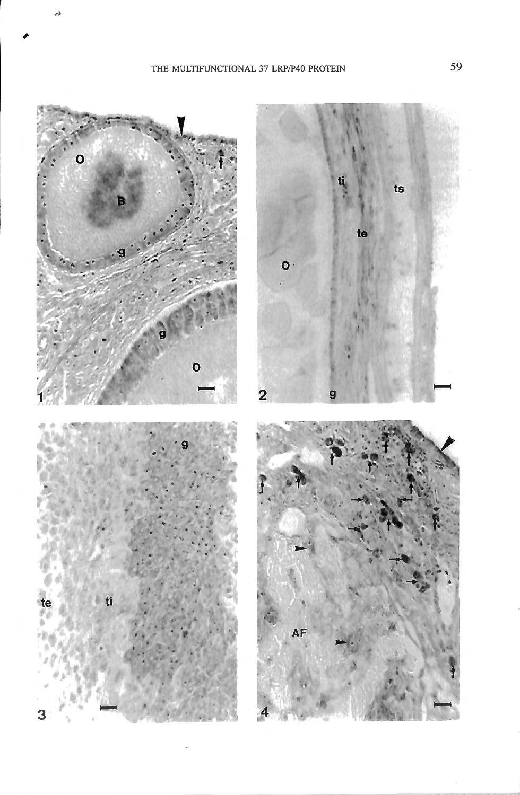THE MULTIFUNCTIONAL 37 LRP/P40 PROTEIN

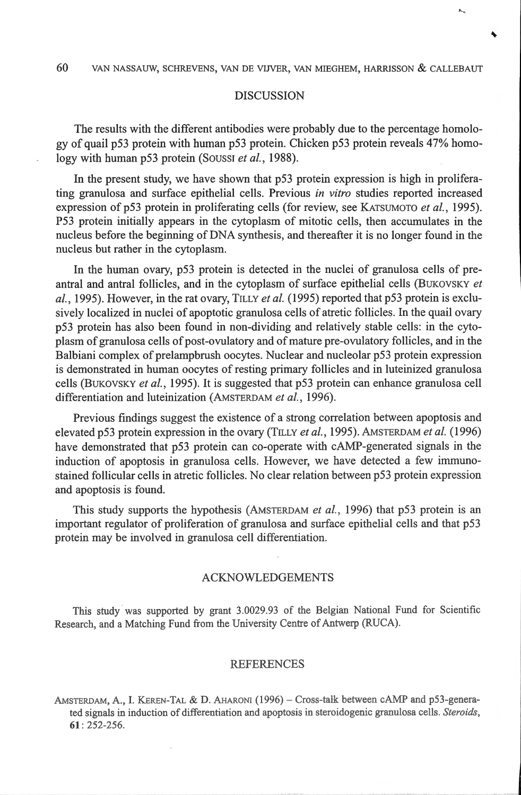# **DISCUSSION**

The results with the different antibodies were probably due to the percentage homology of quai! p53 protein with human p53 protein. Chicken p53 protein reveals 47% homology with human p53 protein (Soussi *et al.*, 1988).

In the present study, we have shown that p53 protein expression is high in proliferating granulosa and surface epithelial cells. Previous *in vitro* studies reported increased expression of p53 protein in proliferating cells (for review, see KATSUMOTO *et al.*, 1995). P53 protein initially appears in the cytoplasm of mitotic cells, then accmnulates in the nucleus before the beginning ofDNA synthesis, and thereafter it is no longer found in the nucleus but rather in the cytoplasm.

In the human ovary, p53 protein is detected in the nuclei of granulosa cells of preantral and antral follicles, and in the cytoplasm of surface epithelial cells (BUKOVSKY *et* al., 1995). However, in the rat ovary, TILLY *et al.* (1995) reported that p53 protein is exclusively localized in nuclei of apoptotic granulosa cells of atretic follicles. In the quail ovary p53 protein has also been found in non-dividing and relatively stable cells: in the cytoplasm of granulosa cells of post-ovulatory and of mature pre-ovulatory follicles, and in the Balbiani complex of prelampbrush oocytes. Nuclear and nucleolar p53 protein expression is demonstrated in human oocytes of resting primary follicles and in luteinized granulosa cells (BUKOVSKY *et al.*, 1995). It is suggested that p53 protein can enhance granulosa cell differentiation and luteinization (AMSTERDAM *et al.,* 1996).

Previous findings suggest the existence of a strong correlation between apoptosis and elevated p53 protein expression in the ovary (TILLY *et al.*, 1995). AMSTERDAM *et al.* (1996) have demonstrated that p53 protein can co-operate with cAMP-generated signais in the induction of apoptosis in granulosa cells. However, we have detected a few immunostained follicular cells in atretic follicles. No clear relation between p53 protein expression and apoptosis is found.

This study supports the hypothesis (AMSTERDAM *et al.*, 1996) that p53 protein is an important regulator of proliferation of granulosa and surface epithelial cells and that p53 protein may be involved in granulosa cell differentiation.

# ACKNOWLEDGEMENTS

This study was supported by grant 3.0029.93 of the Belgian National Fund for Scientific Research, and a Matching Fund from the University Centre of Antwerp (RUCA).

## REFERENCES

AMSTERDAM, A., I. KEREN-TAL & D. AHARONI (1996) - Cross-talk between cAMP and p53-generated signals in induction of differentiation and apoptosis in steroidogenic granulosa cells. Steroids, 61: 252-256.